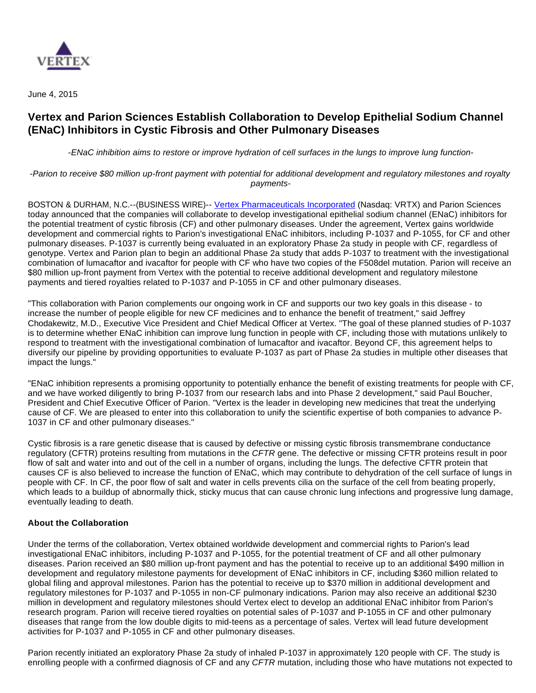

June 4, 2015

# **Vertex and Parion Sciences Establish Collaboration to Develop Epithelial Sodium Channel (ENaC) Inhibitors in Cystic Fibrosis and Other Pulmonary Diseases**

-ENaC inhibition aims to restore or improve hydration of cell surfaces in the lungs to improve lung function-

-Parion to receive \$80 million up-front payment with potential for additional development and regulatory milestones and royalty payments-

BOSTON & DURHAM, N.C.--(BUSINESS WIRE)-- [Vertex Pharmaceuticals Incorporated](http://cts.businesswire.com/ct/CT?id=smartlink&url=http%3A%2F%2Fwww.vrtx.com&esheet=51117907&newsitemid=20150604006358&lan=en-US&anchor=Vertex+Pharmaceuticals+Incorporated&index=1&md5=cc6872b3ae563377f4cba9b3629b5504) (Nasdaq: VRTX) and Parion Sciences today announced that the companies will collaborate to develop investigational epithelial sodium channel (ENaC) inhibitors for the potential treatment of cystic fibrosis (CF) and other pulmonary diseases. Under the agreement, Vertex gains worldwide development and commercial rights to Parion's investigational ENaC inhibitors, including P-1037 and P-1055, for CF and other pulmonary diseases. P-1037 is currently being evaluated in an exploratory Phase 2a study in people with CF, regardless of genotype. Vertex and Parion plan to begin an additional Phase 2a study that adds P-1037 to treatment with the investigational combination of lumacaftor and ivacaftor for people with CF who have two copies of the F508del mutation. Parion will receive an \$80 million up-front payment from Vertex with the potential to receive additional development and regulatory milestone payments and tiered royalties related to P-1037 and P-1055 in CF and other pulmonary diseases.

"This collaboration with Parion complements our ongoing work in CF and supports our two key goals in this disease - to increase the number of people eligible for new CF medicines and to enhance the benefit of treatment," said Jeffrey Chodakewitz, M.D., Executive Vice President and Chief Medical Officer at Vertex. "The goal of these planned studies of P-1037 is to determine whether ENaC inhibition can improve lung function in people with CF, including those with mutations unlikely to respond to treatment with the investigational combination of lumacaftor and ivacaftor. Beyond CF, this agreement helps to diversify our pipeline by providing opportunities to evaluate P-1037 as part of Phase 2a studies in multiple other diseases that impact the lungs."

"ENaC inhibition represents a promising opportunity to potentially enhance the benefit of existing treatments for people with CF, and we have worked diligently to bring P-1037 from our research labs and into Phase 2 development," said Paul Boucher, President and Chief Executive Officer of Parion. "Vertex is the leader in developing new medicines that treat the underlying cause of CF. We are pleased to enter into this collaboration to unify the scientific expertise of both companies to advance P-1037 in CF and other pulmonary diseases."

Cystic fibrosis is a rare genetic disease that is caused by defective or missing cystic fibrosis transmembrane conductance regulatory (CFTR) proteins resulting from mutations in the CFTR gene. The defective or missing CFTR proteins result in poor flow of salt and water into and out of the cell in a number of organs, including the lungs. The defective CFTR protein that causes CF is also believed to increase the function of ENaC, which may contribute to dehydration of the cell surface of lungs in people with CF. In CF, the poor flow of salt and water in cells prevents cilia on the surface of the cell from beating properly, which leads to a buildup of abnormally thick, sticky mucus that can cause chronic lung infections and progressive lung damage, eventually leading to death.

## **About the Collaboration**

Under the terms of the collaboration, Vertex obtained worldwide development and commercial rights to Parion's lead investigational ENaC inhibitors, including P-1037 and P-1055, for the potential treatment of CF and all other pulmonary diseases. Parion received an \$80 million up-front payment and has the potential to receive up to an additional \$490 million in development and regulatory milestone payments for development of ENaC inhibitors in CF, including \$360 million related to global filing and approval milestones. Parion has the potential to receive up to \$370 million in additional development and regulatory milestones for P-1037 and P-1055 in non-CF pulmonary indications. Parion may also receive an additional \$230 million in development and regulatory milestones should Vertex elect to develop an additional ENaC inhibitor from Parion's research program. Parion will receive tiered royalties on potential sales of P-1037 and P-1055 in CF and other pulmonary diseases that range from the low double digits to mid-teens as a percentage of sales. Vertex will lead future development activities for P-1037 and P-1055 in CF and other pulmonary diseases.

Parion recently initiated an exploratory Phase 2a study of inhaled P-1037 in approximately 120 people with CF. The study is enrolling people with a confirmed diagnosis of CF and any CFTR mutation, including those who have mutations not expected to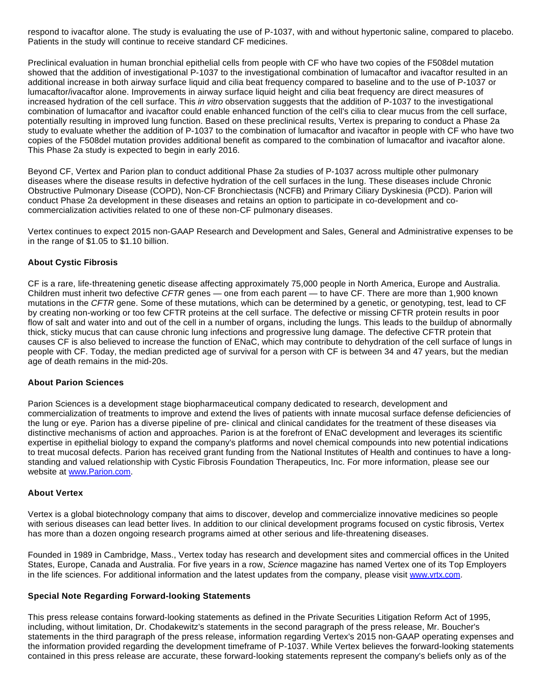respond to ivacaftor alone. The study is evaluating the use of P-1037, with and without hypertonic saline, compared to placebo. Patients in the study will continue to receive standard CF medicines.

Preclinical evaluation in human bronchial epithelial cells from people with CF who have two copies of the F508del mutation showed that the addition of investigational P-1037 to the investigational combination of lumacaftor and ivacaftor resulted in an additional increase in both airway surface liquid and cilia beat frequency compared to baseline and to the use of P-1037 or lumacaftor/ivacaftor alone. Improvements in airway surface liquid height and cilia beat frequency are direct measures of increased hydration of the cell surface. This in vitro observation suggests that the addition of P-1037 to the investigational combination of lumacaftor and ivacaftor could enable enhanced function of the cell's cilia to clear mucus from the cell surface, potentially resulting in improved lung function. Based on these preclinical results, Vertex is preparing to conduct a Phase 2a study to evaluate whether the addition of P-1037 to the combination of lumacaftor and ivacaftor in people with CF who have two copies of the F508del mutation provides additional benefit as compared to the combination of lumacaftor and ivacaftor alone. This Phase 2a study is expected to begin in early 2016.

Beyond CF, Vertex and Parion plan to conduct additional Phase 2a studies of P-1037 across multiple other pulmonary diseases where the disease results in defective hydration of the cell surfaces in the lung. These diseases include Chronic Obstructive Pulmonary Disease (COPD), Non-CF Bronchiectasis (NCFB) and Primary Ciliary Dyskinesia (PCD). Parion will conduct Phase 2a development in these diseases and retains an option to participate in co-development and cocommercialization activities related to one of these non-CF pulmonary diseases.

Vertex continues to expect 2015 non-GAAP Research and Development and Sales, General and Administrative expenses to be in the range of \$1.05 to \$1.10 billion.

### **About Cystic Fibrosis**

CF is a rare, life-threatening genetic disease affecting approximately 75,000 people in North America, Europe and Australia. Children must inherit two defective CFTR genes — one from each parent — to have CF. There are more than 1,900 known mutations in the CFTR gene. Some of these mutations, which can be determined by a genetic, or genotyping, test, lead to CF by creating non-working or too few CFTR proteins at the cell surface. The defective or missing CFTR protein results in poor flow of salt and water into and out of the cell in a number of organs, including the lungs. This leads to the buildup of abnormally thick, sticky mucus that can cause chronic lung infections and progressive lung damage. The defective CFTR protein that causes CF is also believed to increase the function of ENaC, which may contribute to dehydration of the cell surface of lungs in people with CF. Today, the median predicted age of survival for a person with CF is between 34 and 47 years, but the median age of death remains in the mid-20s.

#### **About Parion Sciences**

Parion Sciences is a development stage biopharmaceutical company dedicated to research, development and commercialization of treatments to improve and extend the lives of patients with innate mucosal surface defense deficiencies of the lung or eye. Parion has a diverse pipeline of pre- clinical and clinical candidates for the treatment of these diseases via distinctive mechanisms of action and approaches. Parion is at the forefront of ENaC development and leverages its scientific expertise in epithelial biology to expand the company's platforms and novel chemical compounds into new potential indications to treat mucosal defects. Parion has received grant funding from the National Institutes of Health and continues to have a longstanding and valued relationship with Cystic Fibrosis Foundation Therapeutics, Inc. For more information, please see our website at [www.Parion.com](http://cts.businesswire.com/ct/CT?id=smartlink&url=http%3A%2F%2Fwww.Parion.com&esheet=51117907&newsitemid=20150604006358&lan=en-US&anchor=www.Parion.com&index=2&md5=7ff06b26b4508a1504205cf088d18bbf).

#### **About Vertex**

Vertex is a global biotechnology company that aims to discover, develop and commercialize innovative medicines so people with serious diseases can lead better lives. In addition to our clinical development programs focused on cystic fibrosis, Vertex has more than a dozen ongoing research programs aimed at other serious and life-threatening diseases.

Founded in 1989 in Cambridge, Mass., Vertex today has research and development sites and commercial offices in the United States, Europe, Canada and Australia. For five years in a row, Science magazine has named Vertex one of its Top Employers in the life sciences. For additional information and the latest updates from the company, please visit [www.vrtx.com.](http://cts.businesswire.com/ct/CT?id=smartlink&url=http%3A%2F%2Fwww.vrtx.com&esheet=51117907&newsitemid=20150604006358&lan=en-US&anchor=www.vrtx.com&index=3&md5=3978c7b836ef403a8608f143399fa7b1)

#### **Special Note Regarding Forward-looking Statements**

This press release contains forward-looking statements as defined in the Private Securities Litigation Reform Act of 1995, including, without limitation, Dr. Chodakewitz's statements in the second paragraph of the press release, Mr. Boucher's statements in the third paragraph of the press release, information regarding Vertex's 2015 non-GAAP operating expenses and the information provided regarding the development timeframe of P-1037. While Vertex believes the forward-looking statements contained in this press release are accurate, these forward-looking statements represent the company's beliefs only as of the